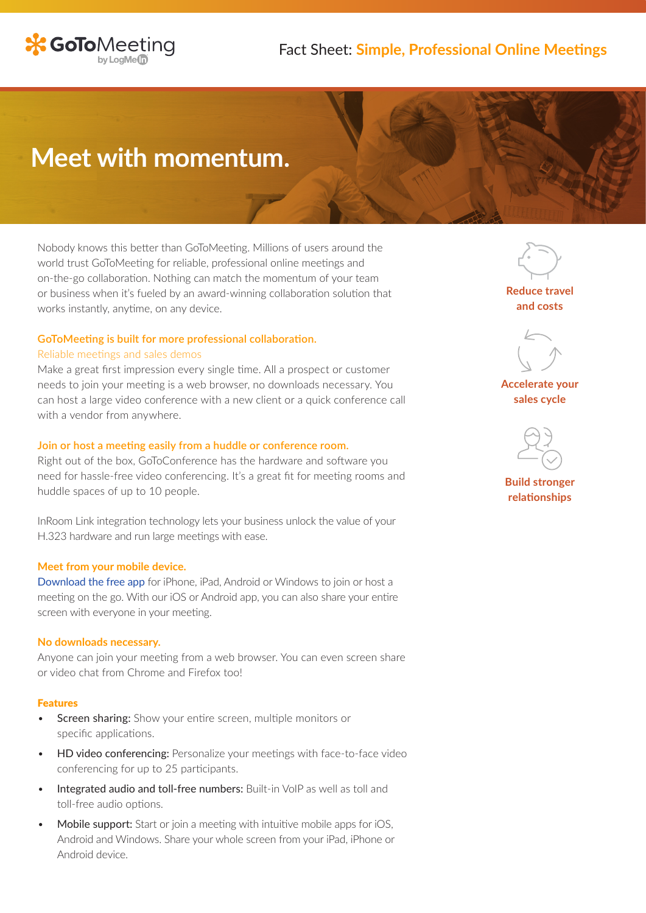

## Fact Sheet: **Simple, Professional Online Meetings**

# **Meet with momentum.**

Nobody knows this better than GoToMeeting. Millions of users around the world trust GoToMeeting for reliable, professional online meetings and on-the-go collaboration. Nothing can match the momentum of your team or business when it's fueled by an award-winning collaboration solution that works instantly, anytime, on any device.

#### **GoToMeeting is built for more professional collaboration.**

#### Reliable meetings and sales demos

Make a great first impression every single time. All a prospect or customer needs to join your meeting is a web browser, no downloads necessary. You can host a large video conference with a new client or a quick conference call with a vendor from anywhere.

### **Join or host a meeting easily from a huddle or conference room.**

Right out of the box, GoToConference has the hardware and software you need for hassle-free video conferencing. It's a great fit for meeting rooms and huddle spaces of up to 10 people.

InRoom Link integration technology lets your business unlock the value of your H.323 hardware and run large meetings with ease.

#### **Meet from your mobile device.**

[Download the free app](https://www.gotomeeting.com/meeting/ipad-iphone-android-apps) for iPhone, iPad, Android or Windows to join or host a meeting on the go. With our iOS or Android app, you can also share your entire screen with everyone in your meeting.

#### **No downloads necessary.**

Anyone can join your meeting from a web browser. You can even screen share or video chat from Chrome and Firefox too!

#### Features

- **Screen sharing:** Show your entire screen, multiple monitors or specific applications.
- **HD video conferencing:** Personalize your meetings with face-to-face video conferencing for up to 25 participants.
- Integrated audio and toll-free numbers: Built-in VoIP as well as toll and toll-free audio options.
- Mobile support: Start or join a meeting with intuitive mobile apps for iOS, Android and Windows. Share your whole screen from your iPad, iPhone or Android device.

**Reduce travel and costs**



**Accelerate your sales cycle**



**Build stronger relationships**